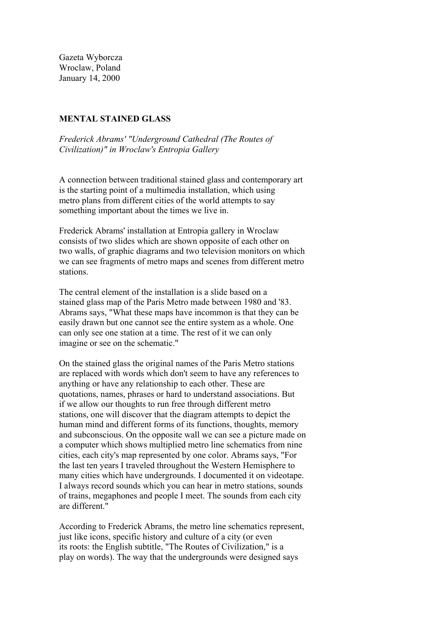Gazeta Wyborcza Wroclaw, Poland January 14, 2000

## **MENTAL STAINED GLASS**

 *Frederick Abrams' "Underground Cathedral (The Routes of Civilization)" in Wroclaw's Entropia Gallery*

 A connection between traditional stained glass and contemporary art is the starting point of a multimedia installation, which using metro plans from different cities of the world attempts to say something important about the times we live in.

 Frederick Abrams' installation at Entropia gallery in Wroclaw consists of two slides which are shown opposite of each other on two walls, of graphic diagrams and two television monitors on which we can see fragments of metro maps and scenes from different metro stations.

 The central element of the installation is a slide based on a stained glass map of the Paris Metro made between 1980 and '83. Abrams says, "What these maps have incommon is that they can be easily drawn but one cannot see the entire system as a whole. One can only see one station at a time. The rest of it we can only imagine or see on the schematic."

 On the stained glass the original names of the Paris Metro stations are replaced with words which don't seem to have any references to anything or have any relationship to each other. These are quotations, names, phrases or hard to understand associations. But if we allow our thoughts to run free through different metro stations, one will discover that the diagram attempts to depict the human mind and different forms of its functions, thoughts, memory and subconscious. On the opposite wall we can see a picture made on a computer which shows multiplied metro line schematics from nine cities, each city's map represented by one color. Abrams says, "For the last ten years I traveled throughout the Western Hemisphere to many cities which have undergrounds. I documented it on videotape. I always record sounds which you can hear in metro stations, sounds of trains, megaphones and people I meet. The sounds from each city are different."

 According to Frederick Abrams, the metro line schematics represent, just like icons, specific history and culture of a city (or even its roots: the English subtitle, "The Routes of Civilization," is a play on words). The way that the undergrounds were designed says